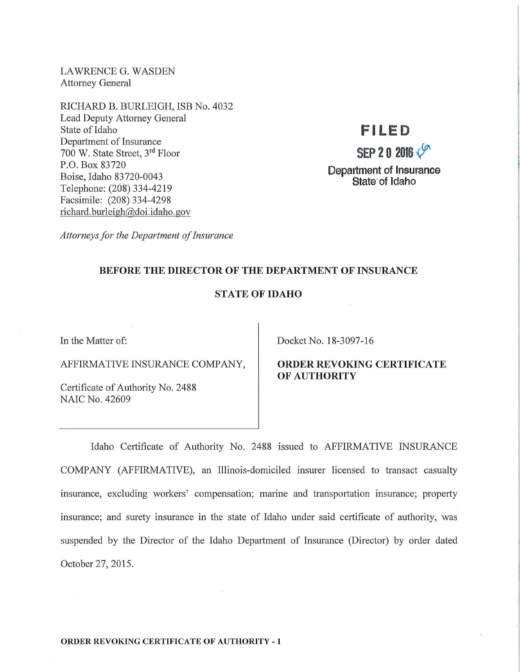LAWRENCE G. WASDEN Attorney General

RICHARD B. BURLEIGH, ISB No. 4032 Lead Deputy Attorney General State of Idaho Department of Insurance 700 W. State Street, 3rd Floor P.O. Box 83720 Boise, Idaho 83720-0043 Telephone: (208) 334-4219 Facsimile: (208) 334-4298 richard. burleigh@doi.idaho.gov

### **FILED**

## **SEP 2 0 2016**  $\sqrt{9}$ **Department of Insurance State of Idaho**

*Attorneys for the Department of Insurance* 

### **BEFORE THE DIRECTOR OF THE DEPARTMENT OF INSURANCE**

### **STATE OF IDAHO**

AFFIRMATIVE INSURANCE COMP ANY, **ORDER REVOKING CERTIFICATE** 

Certificate of Authority No. 2488 NAIC No. 42609

In the Matter of:  $Docket No. 18-3097-16$ 

# **OF AUTHORITY**

Idaho Certificate of Authority No. 2488 issued to AFFIRMATIVE INSURANCE COMP ANY (AFFIRMATIVE), an Illinois-domiciled insurer licensed to transact casualty insurance, excluding workers' compensation; marine and transportation insurance; property insurance; and surety insurance in the state of Idaho under said certificate of authority, was suspended by the Director of the Idaho Department of Insurance (Director) by order dated October 27, 2015.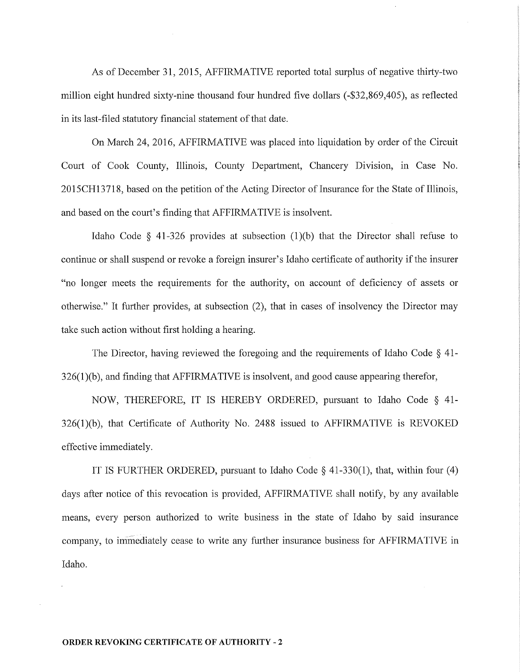As of December 31, 2015, AFFIRMATIVE reported total surplus of negative thirty-two million eight hundred sixty-nine thousand four hundred five dollars (-\$32,869,405), as reflected in its last-filed statutory financial statement of that date.

On March 24, 2016, AFFIRMATIVE was placed into liquidation by order of the Circuit Court of Cook County, Illinois, County Department, Chancery Division, in Case No. 2015CH13718, based on the petition of the Acting Director of Insurance for the State of Illinois, and based on the court's finding that AFFIRMATIVE is insolvent.

Idaho Code  $\S$  41-326 provides at subsection (1)(b) that the Director shall refuse to continue or shall suspend or revoke a foreign insurer's Idaho certificate of authority if the insurer "no longer meets the requirements for the authority, on account of deficiency of assets or otherwise." It further provides, at subsection  $(2)$ , that in cases of insolvency the Director may take such action without first holding a hearing.

The Director, having reviewed the foregoing and the requirements of Idaho Code § 41-  $326(1)$ (b), and finding that AFFIRMATIVE is insolvent, and good cause appearing therefor,

NOW, THEREFORE, IT IS HEREBY ORDERED, pursuant to Idaho Code § 41-  $326(1)(b)$ , that Certificate of Authority No. 2488 issued to AFFIRMATIVE is REVOKED effective immediately.

IT IS FURTHER ORDERED, pursuant to Idaho Code § 41-330(1), that, within four (4) days after notice of this revocation is provided, AFFIRMATIVE shall notify, by any available means, every person authorized to write business in the state of Idaho by said insurance company, to immediately cease to write any further insurance business for AFFIRMATIVE in Idaho.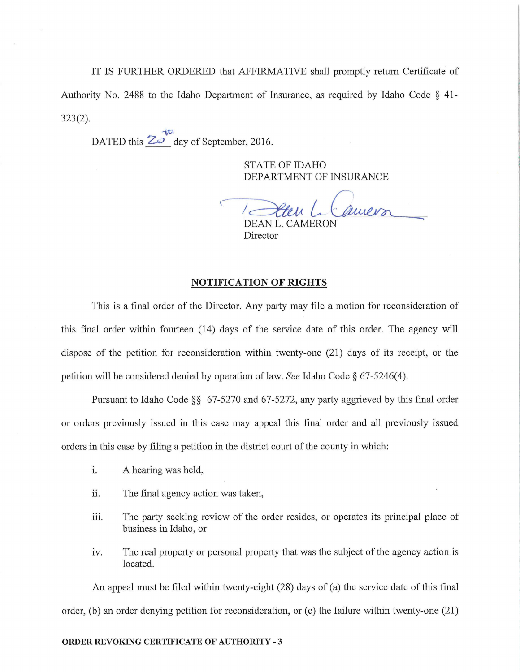IT IS FURTHER ORDERED that AFFIRMATIVE shall promptly return Certificate of Authority No. 2488 to the Idaho Department of Insurance, as required by Idaho Code  $\S$  41-323(2).

tt1 DATED this **Z**<sup>o</sup> day of September, 2016.

> STATE OF IDAHO DEPARTMENT OF INSURANCE

Camero

DEAN L. CAMERON Director

### **NOTIFICATION OF RIGHTS**

This is a final order of the Director. Any party may file a motion for reconsideration of this final order within fomieen (14) days of the service date of this order. The agency will dispose of the petition for reconsideration within twenty-one (21) days of its receipt, or the petition will be considered denied by operation of law. *See* Idaho Code § 67-5246(4).

Pursuant to Idaho Code  $\S$ § 67-5270 and 67-5272, any party aggrieved by this final order or orders previously issued in this case may appeal this final order and all previously issued orders in this case by filing a petition in the district court of the county in which:

- i. A hearing was held,
- ii. The final agency action was taken,
- iii. The party seeking review of the order resides, or operates its principal place of business in Idaho, or
- iv. The real property or personal property that was the subject of the agency action is located.

An appeal must be filed within twenty-eight (28) days of (a) the service date of this final order, (b) an order denying petition for reconsideration, or (c) the failure within twenty-one  $(21)$ 

### **ORDER REVOKING CERTIFICATE OF AUTHORITY** - 3